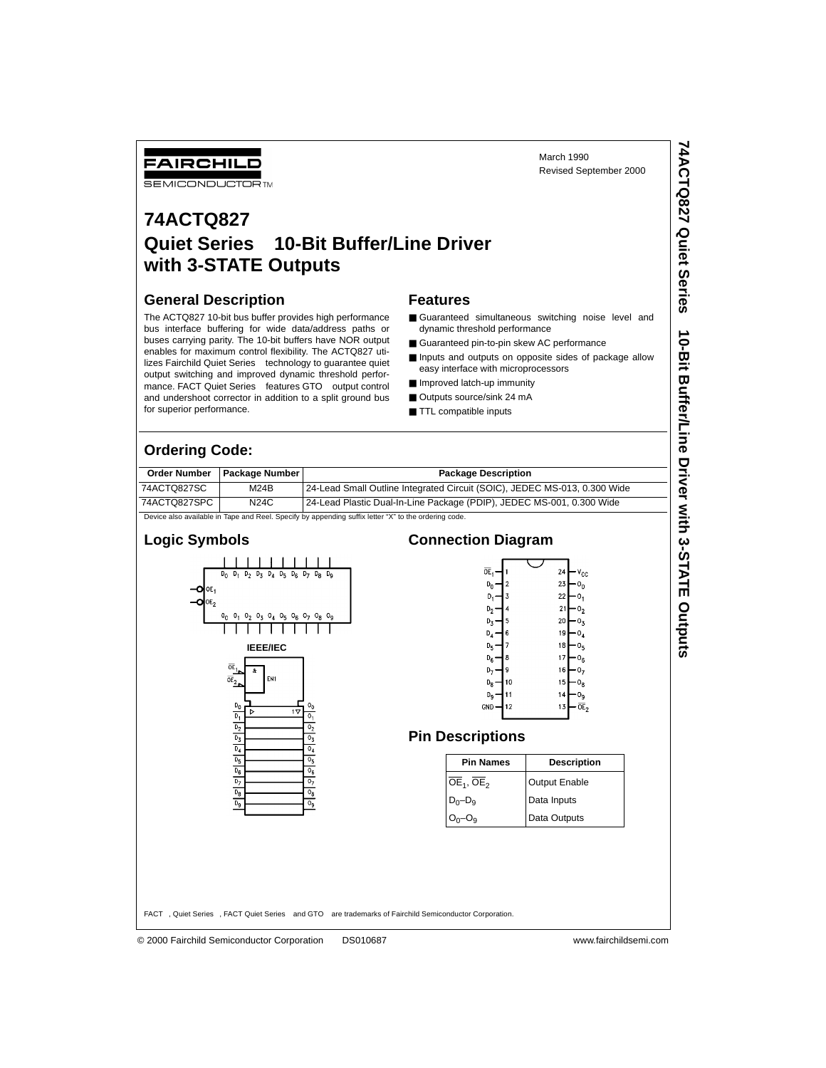March 1990 Revised September 2000 **74ACTQ827 Quiet Series**

74ACTQ827 Quiet Series™ 10-Bit Buffer/Line Driver with 3-STATE Outputs

 **10-Bit Buffer/Line Driver with 3-STATE Outputs**

## FAIRCHILD

**SEMICONDUCTOR TM** 

### **74ACTQ827 Quiet Series 10-Bit Buffer/Line Driver with 3-STATE Outputs**

#### **General Description**

The ACTQ827 10-bit bus buffer provides high performance bus interface buffering for wide data/address paths or buses carrying parity. The 10-bit buffers have NOR output enables for maximum control flexibility. The ACTQ827 utilizes Fairchild Quiet Series<sup>™</sup> technology to guarantee quiet output switching and improved dynamic threshold performance. FACT Quiet Series™ features GTO™ output control and undershoot corrector in addition to a split ground bus for superior performance.

#### **Features**

- Guaranteed simultaneous switching noise level and dynamic threshold performance
- Guaranteed pin-to-pin skew AC performance
- Inputs and outputs on opposite sides of package allow easy interface with microprocessors
- Improved latch-up immunity
- Outputs source/sink 24 mA
- TTL compatible inputs

#### **Ordering Code:**

| <b>Order Number</b>                                                                                 | <b>Package Number I</b> | <b>Package Description</b>                                                |  |  |  |
|-----------------------------------------------------------------------------------------------------|-------------------------|---------------------------------------------------------------------------|--|--|--|
| 74ACTQ827SC                                                                                         | M24B                    | 24-Lead Small Outline Integrated Circuit (SOIC), JEDEC MS-013, 0.300 Wide |  |  |  |
| 74ACTQ827SPC                                                                                        | <b>N24C</b>             | 24-Lead Plastic Dual-In-Line Package (PDIP), JEDEC MS-001, 0.300 Wide     |  |  |  |
| Device also available in Tane and Reel, Specify by annending suffix letter "Y" to the ordering code |                         |                                                                           |  |  |  |

Device also available in Tape and Reel. Specify by appending suffix letter "X" to the ordering code.



#### **Connection Diagram**



#### **Pin Descriptions**

| <b>Pin Names</b>                    | <b>Description</b>   |  |  |  |
|-------------------------------------|----------------------|--|--|--|
| $\overline{OE}_1$ , OE <sub>2</sub> | <b>Output Enable</b> |  |  |  |
| $D_0 - D_9$                         | Data Inputs          |  |  |  |
| $O_0-O_9$                           | Data Outputs         |  |  |  |

FACT™, Quiet Series™, FACT Quiet Series™ and GTO™ are trademarks of Fairchild Semiconductor Corporation.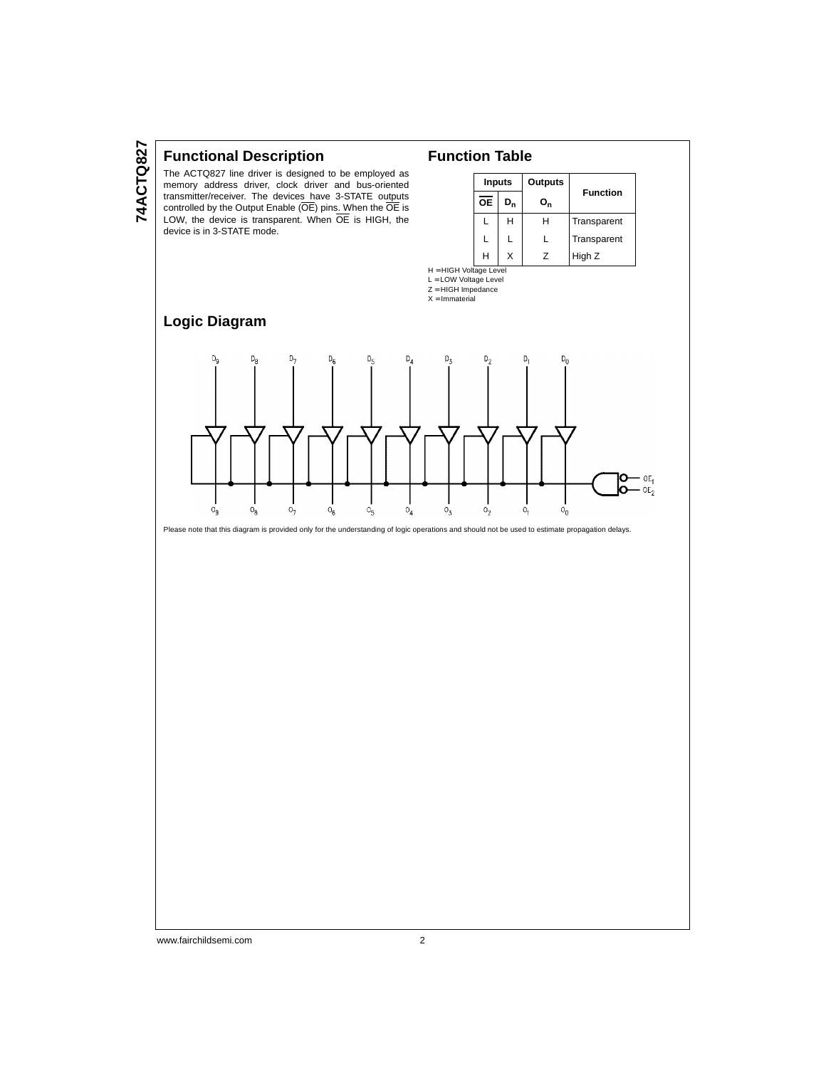#### **Functional Description**

The ACTQ827 line driver is designed to be employed as memory address driver, clock driver and bus-oriented transmitter/receiver. The devices have 3-STATE outputs controlled by the Output Enable (OE) pins. When the OE is LOW, the device is transparent. When OE is HIGH, the device is in 3-STATE mode.

#### **Function Table**

H = HIGH Voltage Level L = LOW Voltage Level Z = HIGH Impedance  $X = Immaterial$ 

| <b>Inputs</b> |       | Outputs        |                 |  |
|---------------|-------|----------------|-----------------|--|
| <b>OE</b>     | $D_n$ | o <sub>n</sub> | <b>Function</b> |  |
|               | н     | н              | Transparent     |  |
| L             |       | L              | Transparent     |  |
| H             | X     | 7              | High Z          |  |

#### **Logic Diagram**



Please note that this diagram is provided only for the understanding of logic operations and should not be used to estimate propagation delays.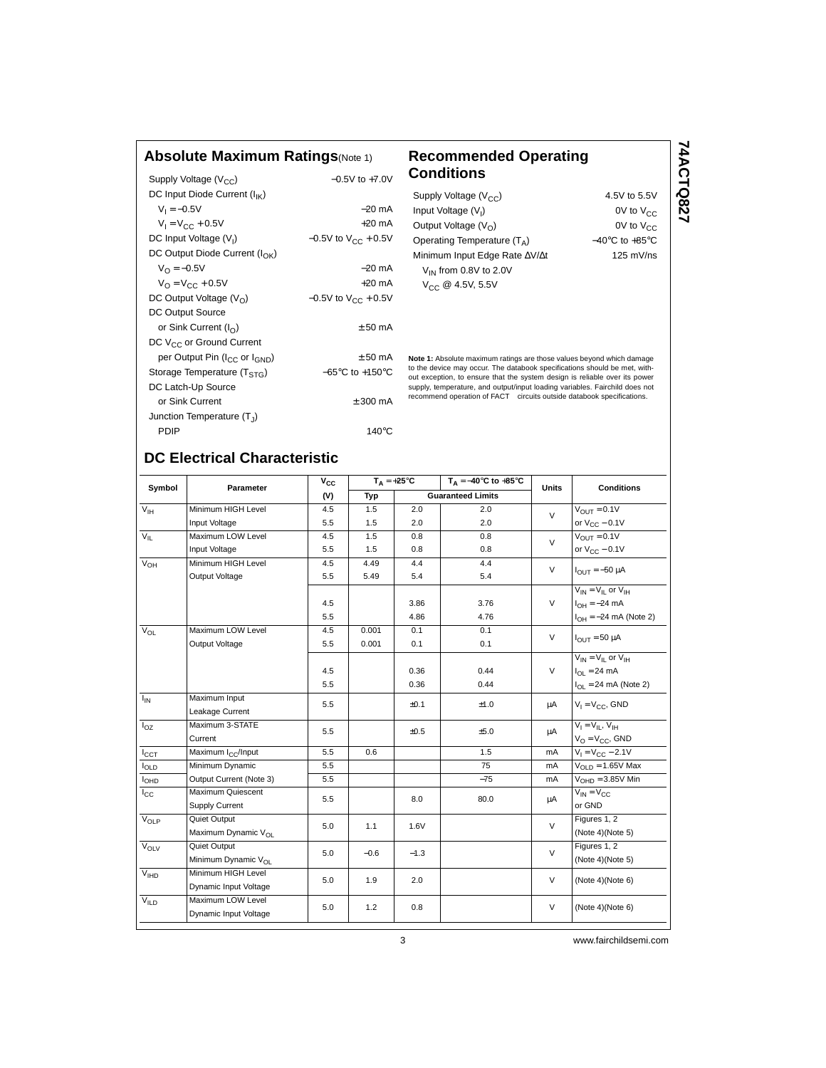#### **Absolute Maximum Ratings**(Note 1) **Recommended Operating**

| Supply Voltage (V <sub>CC</sub> )                     | $-0.5V$ to $+7.0V$                  |
|-------------------------------------------------------|-------------------------------------|
| DC Input Diode Current $(I_{IK})$                     |                                     |
| $V_1 = -0.5V$                                         | $-20$ mA                            |
| $V_1 = V_{CC} + 0.5V$                                 | $+20$ mA                            |
| DC Input Voltage (V <sub>I</sub> )                    | $-0.5V$ to $V_{CC}$ + 0.5V          |
| DC Output Diode Current ( $I_{\cap K}$ )              |                                     |
| $V_{\Omega} = -0.5V$                                  | $-20$ mA                            |
| $V_{\Omega} = V_{\text{CC}} + 0.5V$                   | $+20 \text{ mA}$                    |
| DC Output Voltage $(V0)$                              | $-0.5V$ to $V_{CC}$ + 0.5V          |
| DC Output Source                                      |                                     |
| or Sink Current $(I_{\cap})$                          | $+50 \text{ mA}$                    |
| DC V <sub>CC</sub> or Ground Current                  |                                     |
| per Output Pin (I <sub>CC</sub> or I <sub>GND</sub> ) | $+50 \text{ mA}$                    |
| Storage Temperature (T <sub>STG</sub> )               | $-65^{\circ}$ C to $+150^{\circ}$ C |
| DC Latch-Up Source                                    |                                     |
| or Sink Current                                       | $+300 \text{ mA}$                   |
| Junction Temperature $(T_1)$                          |                                     |
| PDIP                                                  | 140 $^{\circ}$ C                    |

# **Conditions**

| Supply Voltage $(V_{CC})$     | 4.5V to 5.5V                       |
|-------------------------------|------------------------------------|
| Input Voltage $(V1)$          | 0V to $V_{CC}$                     |
| Output Voltage $(V_0)$        | $0V$ to $V_{CC}$                   |
| Operating Temperature $(T_A)$ | $-40^{\circ}$ C to $+85^{\circ}$ C |
| Minimum Input Edge Rate AV/At | $125$ mV/ns                        |
| $V_{IN}$ from 0.8V to 2.0V    |                                    |
| $V_{CC}$ @ 4.5V, 5.5V         |                                    |

**Note 1:** Absolute maximum ratings are those values beyond which damage to the device may occur. The databook specifications should be met, without exception, to ensure that the system design is reliable over its power supply, temperature, and output/input loading variables. Fairchild does not<br>recommend operation of FACT™ circuits outside databook specifications.

#### **DC Electrical Characteristic**

| Symbol                 | <b>Parameter</b>                | $v_{\rm cc}$ | $T_A = +25^{\circ}C$ |                          | $T_A = -40^\circ C$ to $+85^\circ C$ | <b>Units</b> | <b>Conditions</b>               |
|------------------------|---------------------------------|--------------|----------------------|--------------------------|--------------------------------------|--------------|---------------------------------|
|                        |                                 | (V)          | Typ                  | <b>Guaranteed Limits</b> |                                      |              |                                 |
| $V_{\text{IH}}$        | Minimum HIGH Level              | 4.5          | 1.5                  | 2.0                      | 2.0                                  | $\vee$       | $V_{\text{OUT}} = 0.1V$         |
|                        | Input Voltage                   | 5.5          | 1.5                  | 2.0                      | 2.0                                  |              | or $V_{CC}$ – 0.1V              |
| $V_{\parallel}$        | Maximum LOW Level               | 4.5          | 1.5                  | 0.8                      | 0.8                                  | $\vee$       | $V_{OUT} = 0.1V$                |
|                        | Input Voltage                   | 5.5          | 1.5                  | 0.8                      | 0.8                                  |              | or $V_{CC}$ – 0.1V              |
| $V_{OH}$               | Minimum HIGH Level              | 4.5          | 4.49                 | 4.4                      | 4.4                                  | $\vee$       | $I_{OUIT} = -50 \mu A$          |
|                        | Output Voltage                  | 5.5          | 5.49                 | 5.4                      | 5.4                                  |              |                                 |
|                        |                                 |              |                      |                          |                                      |              | $V_{IN} = V_{IL}$ or $V_{IH}$   |
|                        |                                 | 4.5          |                      | 3.86                     | 3.76                                 | $\vee$       | $I_{OH} = -24$ mA               |
|                        |                                 | 5.5          |                      | 4.86                     | 4.76                                 |              | $I_{OH} = -24$ mA (Note 2)      |
| $V_{\Omega}$           | Maximum LOW Level               | 4.5          | 0.001                | 0.1                      | 0.1                                  | $\vee$       | $I_{OIII}$ = 50 µA              |
|                        | Output Voltage                  | 5.5          | 0.001                | 0.1                      | 0.1                                  |              |                                 |
|                        |                                 |              |                      |                          |                                      |              | $V_{IN} = V_{II}$ or $V_{IH}$   |
|                        |                                 | 4.5          |                      | 0.36                     | 0.44                                 | $\vee$       | $I_{\text{OI}} = 24 \text{ mA}$ |
|                        |                                 | 5.5          |                      | 0.36                     | 0.44                                 |              | $I_{OL}$ = 24 mA (Note 2)       |
| $I_{\text{IN}}$        | Maximum Input                   |              |                      | ±0.1                     | ±1.0                                 | μA           | $V_1 = V_{CC}$ , GND            |
|                        | Leakage Current                 | 5.5          |                      |                          |                                      |              |                                 |
| $I_{OZ}$               | Maximum 3-STATE                 | 5.5          |                      | ±0.5                     | ±5.0                                 | μA           | $V_1 = V_{II}$ , $V_{IH}$       |
|                        | Current                         |              |                      |                          |                                      |              | $V_O = V_{CC}$ , GND            |
| $I_{\rm CCT}$          | Maximum I <sub>CC</sub> /Input  | 5.5          | 0.6                  |                          | 1.5                                  | mA           | $V_1 = V_{CC} - 2.1V$           |
| $I_{OLD}$              | Minimum Dynamic                 | 5.5          |                      |                          | 75                                   | mA           | $VOLD = 1.65V$ Max              |
| <b>I<sub>OHD</sub></b> | Output Current (Note 3)         | 5.5          |                      |                          | $-75$                                | mA           | $VOHD = 3.85V$ Min              |
| $I_{\rm CC}$           | Maximum Quiescent               | 5.5          |                      | 8.0                      | 80.0                                 | μA           | $V_{IN} = V_{CC}$               |
|                        | Supply Current                  |              |                      |                          |                                      |              | or GND                          |
| $V_{OLP}$              | Quiet Output                    | 5.0          | 1.1                  | 1.6V                     |                                      | $\vee$       | Figures 1, 2                    |
|                        | Maximum Dynamic V <sub>OL</sub> |              |                      |                          |                                      |              | (Note 4)(Note 5)                |
| VOLV                   | Quiet Output                    | 5.0          | $-0.6$               | $-1.3$                   |                                      | V            | Figures 1, 2                    |
|                        | Minimum Dynamic V <sub>OL</sub> |              |                      |                          |                                      |              | (Note 4)(Note 5)                |
| V <sub>IHD</sub>       | Minimum HIGH Level              | 5.0          | 1.9                  | 2.0                      |                                      | $\vee$       | (Note 4)(Note 6)                |
|                        | Dynamic Input Voltage           |              |                      |                          |                                      |              |                                 |
| V <sub>ILD</sub>       | Maximum LOW Level               | 5.0          | 1.2                  |                          |                                      | V            | (Note 4)(Note 6)                |
|                        | Dynamic Input Voltage           |              |                      | 0.8                      |                                      |              |                                 |
|                        |                                 |              |                      |                          |                                      |              |                                 |

# 74ACTQ827 **74ACTQ827**

3 www.fairchildsemi.com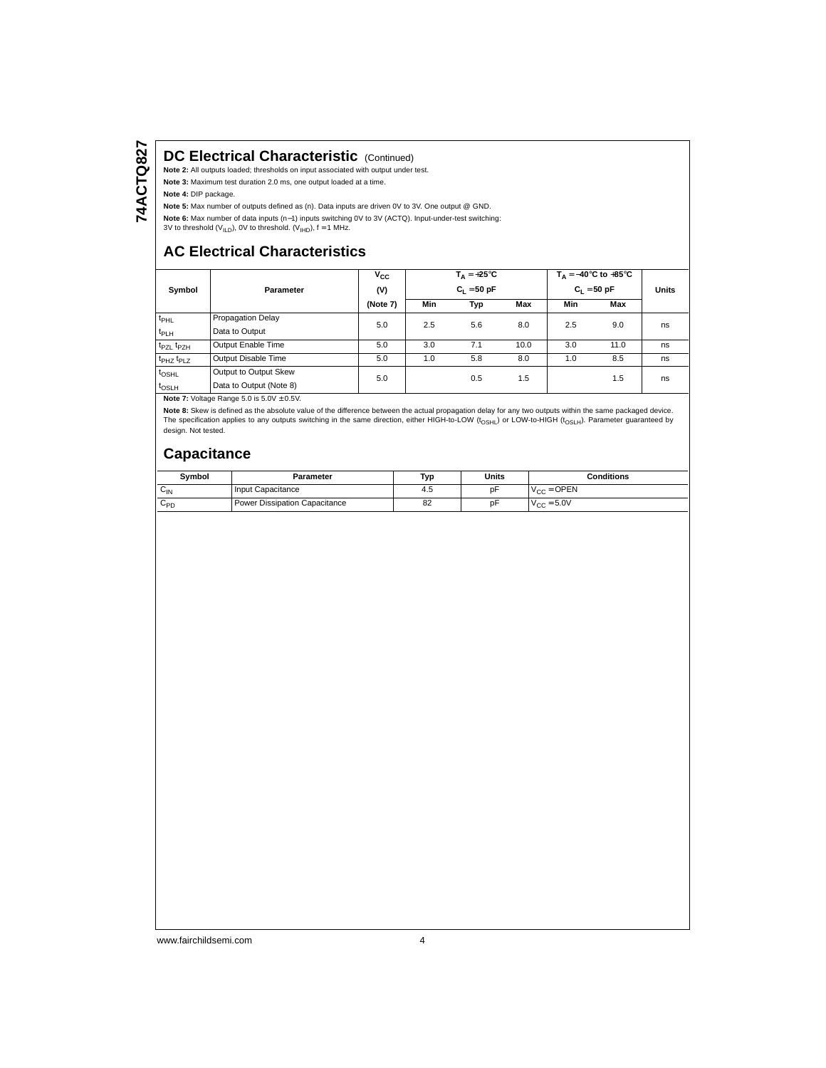#### **DC Electrical Characteristic (Continued)**

**Note 2:** All outputs loaded; thresholds on input associated with output under test.

**Note 3:** Maximum test duration 2.0 ms, one output loaded at a time.

**Note 4:** DIP package.

**Note 5:** Max number of outputs defined as (n). Data inputs are driven 0V to 3V. One output @ GND.

**Note 6:** Max number of data inputs (n−1) inputs switching 0V to 3V (ACTQ). Input-under-test switching:

3V to threshold ( $V_{ILD}$ ), 0V to threshold. ( $V_{IHD}$ ), f = 1 MHz.

#### **AC Electrical Characteristics**

|                                   |                         | $T_{\Delta} = +25^{\circ}C$<br>$V_{\rm CC}$ |               |     |      | $T_A = -40^\circ \text{C}$ to $+85^\circ \text{C}$ |      |              |
|-----------------------------------|-------------------------|---------------------------------------------|---------------|-----|------|----------------------------------------------------|------|--------------|
| Symbol<br>Parameter               |                         | (V)                                         | $C_1 = 50 pF$ |     |      | $C_1 = 50 pF$                                      |      | <b>Units</b> |
|                                   |                         | (Note 7)                                    | Min           | Typ | Max  | Min                                                | Max  |              |
| $t_{\rm PHL}$                     | Propagation Delay       | 5.0                                         | 2.5           | 5.6 | 8.0  | 2.5                                                | 9.0  | ns           |
| t <sub>PLH</sub>                  | Data to Output          |                                             |               |     |      |                                                    |      |              |
| t <sub>PZL</sub> t <sub>PZH</sub> | Output Enable Time      | 5.0                                         | 3.0           | 7.1 | 10.0 | 3.0                                                | 11.0 | ns           |
| t <sub>PHZ</sub> t <sub>PLZ</sub> | Output Disable Time     | 5.0                                         | 1.0           | 5.8 | 8.0  | 1.0                                                | 8.5  | ns           |
| $t_{\text{OSHL}}$                 | Output to Output Skew   | 5.0                                         |               | 0.5 | 1.5  |                                                    | 1.5  | ns           |
| $t_{\text{OSLH}}$                 | Data to Output (Note 8) |                                             |               |     |      |                                                    |      |              |

**Note 7:** Voltage Range 5.0 is  $5.0V \pm 0.5V$ .

**Note 8:** Skew is defined as the absolute value of the difference between the actual propagation delay for any two outputs within the same packaged device.<br>The specification applies to any outputs switching in the same dir design. Not tested.

#### **Capacitance**

| Symbol                    | Parameter                     | Tyr | Units | <b>Conditions</b>      |
|---------------------------|-------------------------------|-----|-------|------------------------|
| $\sim$<br>$V_{\text{IN}}$ | Input Capacitance             | 4.5 | p۲    | $V_{CC} =$ OPEN        |
| $\sim$<br>∪PD             | Power Dissipation Capacitance | 82  | p۲    | $V_{\text{CC}} = 5.0V$ |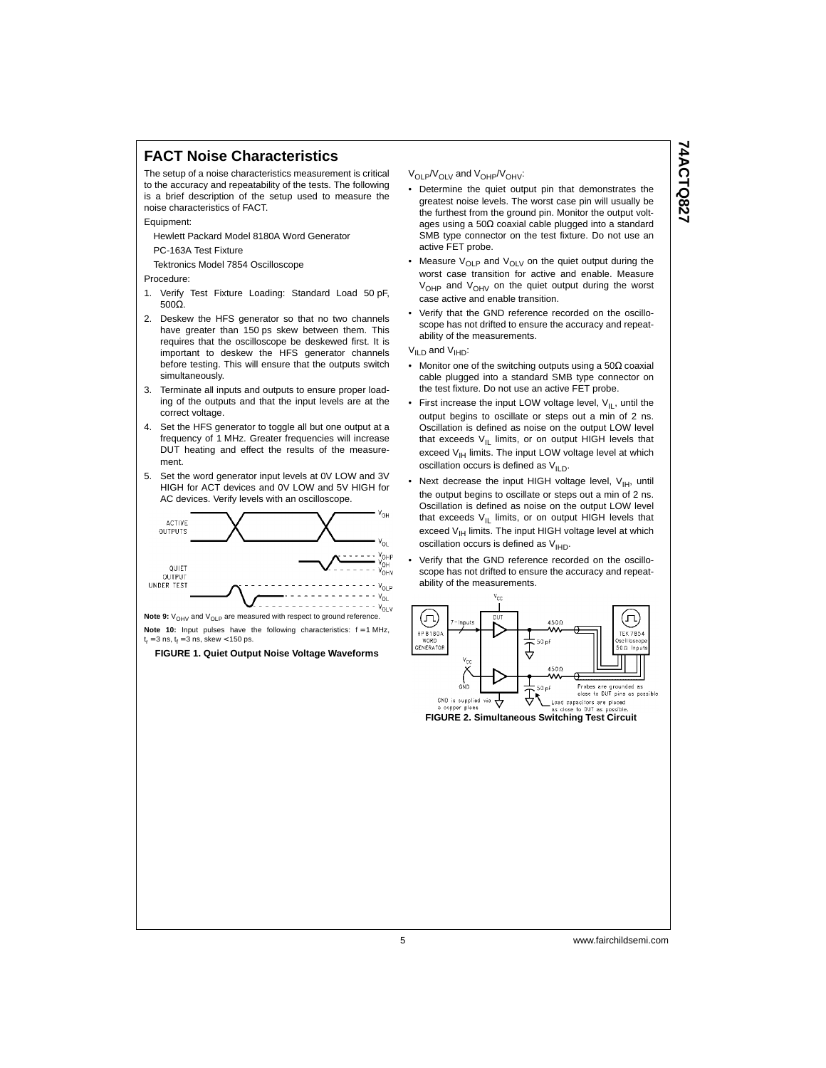#### **FACT Noise Characteristics**

The setup of a noise characteristics measurement is critical to the accuracy and repeatability of the tests. The following is a brief description of the setup used to measure the noise characteristics of FACT.

Equipment:

Hewlett Packard Model 8180A Word Generator

PC-163A Test Fixture

Tektronics Model 7854 Oscilloscope

Procedure:

- 1. Verify Test Fixture Loading: Standard Load 50 pF, 500Ω.
- 2. Deskew the HFS generator so that no two channels have greater than 150 ps skew between them. This requires that the oscilloscope be deskewed first. It is important to deskew the HFS generator channels before testing. This will ensure that the outputs switch simultaneously.
- 3. Terminate all inputs and outputs to ensure proper loading of the outputs and that the input levels are at the correct voltage.
- 4. Set the HFS generator to toggle all but one output at a frequency of 1 MHz. Greater frequencies will increase DUT heating and effect the results of the measurement.
- 5. Set the word generator input levels at 0V LOW and 3V HIGH for ACT devices and 0V LOW and 5V HIGH for AC devices. Verify levels with an oscilloscope.



**Note 9:**  $V_{\text{OHV}}$  and  $V_{\text{OLP}}$  are measured with respect to ground reference. **Note 10:** Input pulses have the following characteristics:  $f = 1$  MHz,  $t_r = 3$  ns,  $t_f = 3$  ns, skew < 150 ps.

**FIGURE 1. Quiet Output Noise Voltage Waveforms**

V<sub>OLP</sub>/V<sub>OLV</sub> and V<sub>OHP</sub>/V<sub>OHV</sub>:

- Determine the quiet output pin that demonstrates the greatest noise levels. The worst case pin will usually be the furthest from the ground pin. Monitor the output voltages using a 50Ω coaxial cable plugged into a standard SMB type connector on the test fixture. Do not use an active FET probe.
- Measure  $V_{OLP}$  and  $V_{OLV}$  on the quiet output during the worst case transition for active and enable. Measure V<sub>OHP</sub> and V<sub>OHV</sub> on the quiet output during the worst case active and enable transition.
- Verify that the GND reference recorded on the oscilloscope has not drifted to ensure the accuracy and repeatability of the measurements.

 $V_{ILD}$  and  $V_{IHD}$ :

- Monitor one of the switching outputs using a 50Ω coaxial cable plugged into a standard SMB type connector on the test fixture. Do not use an active FET probe.
- First increase the input LOW voltage level,  $V_{II}$ , until the output begins to oscillate or steps out a min of 2 ns. Oscillation is defined as noise on the output LOW level that exceeds  $V_{\text{IL}}$  limits, or on output HIGH levels that exceed V<sub>IH</sub> limits. The input LOW voltage level at which oscillation occurs is defined as  $V_{\mathsf{ILD}}$ .
- Next decrease the input HIGH voltage level,  $V_{\text{IH}}$ , until the output begins to oscillate or steps out a min of 2 ns. Oscillation is defined as noise on the output LOW level that exceeds  $V_{IL}$  limits, or on output HIGH levels that exceed  $V_{\text{IH}}$  limits. The input HIGH voltage level at which oscillation occurs is defined as  $V_{\text{H}D}$ .
- Verify that the GND reference recorded on the oscilloscope has not drifted to ensure the accuracy and repeatability of the measurements.



**FIGURE 2. Simultaneous Switching Test Circuit**

**74ACTQ827 74ACTQ827**

5 www.fairchildsemi.com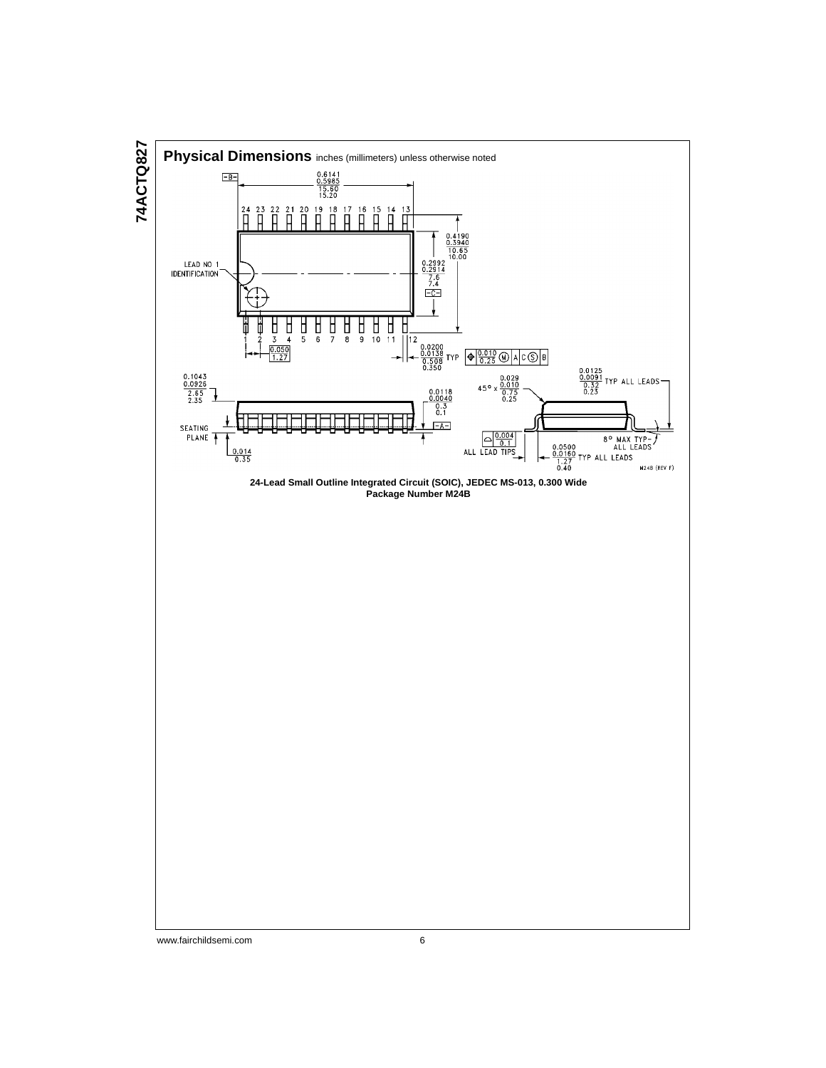